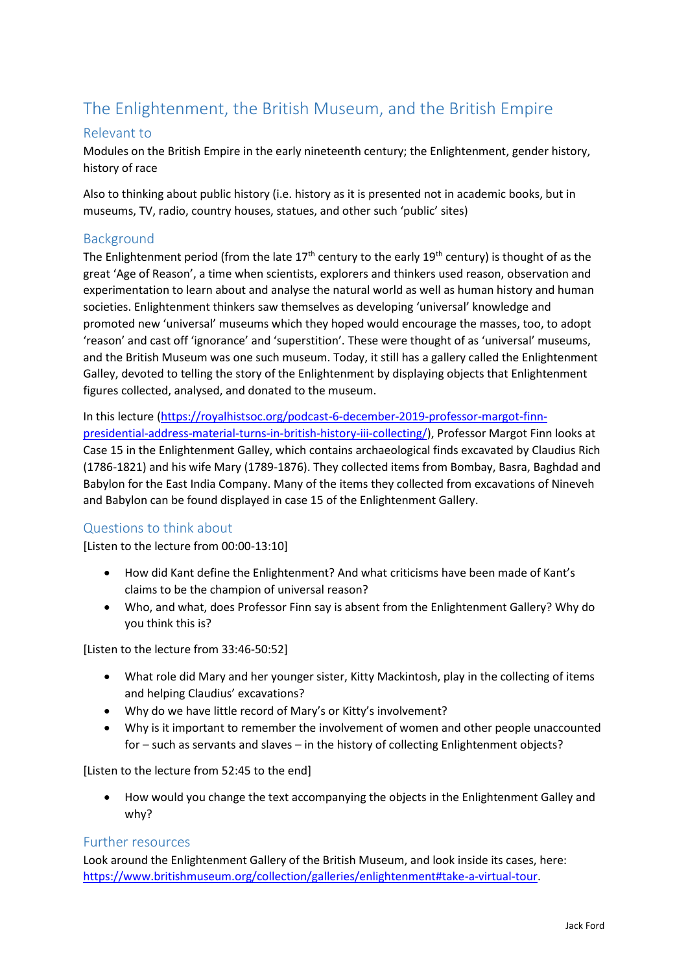# The Enlightenment, the British Museum, and the British Empire

## Relevant to

Modules on the British Empire in the early nineteenth century; the Enlightenment, gender history, history of race

Also to thinking about public history (i.e. history as it is presented not in academic books, but in museums, TV, radio, country houses, statues, and other such 'public' sites)

## Background

The Enlightenment period (from the late 17<sup>th</sup> century to the early 19<sup>th</sup> century) is thought of as the great 'Age of Reason', a time when scientists, explorers and thinkers used reason, observation and experimentation to learn about and analyse the natural world as well as human history and human societies. Enlightenment thinkers saw themselves as developing 'universal' knowledge and promoted new 'universal' museums which they hoped would encourage the masses, too, to adopt 'reason' and cast off 'ignorance' and 'superstition'. These were thought of as 'universal' museums, and the British Museum was one such museum. Today, it still has a gallery called the Enlightenment Galley, devoted to telling the story of the Enlightenment by displaying objects that Enlightenment figures collected, analysed, and donated to the museum.

In this lecture [\(https://royalhistsoc.org/podcast-6-december-2019-professor-margot-finn](https://royalhistsoc.org/podcast-6-december-2019-professor-margot-finn-presidential-address-material-turns-in-british-history-iii-collecting/)[presidential-address-material-turns-in-british-history-iii-collecting/\)](https://royalhistsoc.org/podcast-6-december-2019-professor-margot-finn-presidential-address-material-turns-in-british-history-iii-collecting/), Professor Margot Finn looks at Case 15 in the Enlightenment Galley, which contains archaeological finds excavated by Claudius Rich (1786-1821) and his wife Mary (1789-1876). They collected items from Bombay, Basra, Baghdad and Babylon for the East India Company. Many of the items they collected from excavations of Nineveh and Babylon can be found displayed in case 15 of the Enlightenment Gallery.

### Questions to think about

[Listen to the lecture from 00:00-13:10]

- How did Kant define the Enlightenment? And what criticisms have been made of Kant's claims to be the champion of universal reason?
- Who, and what, does Professor Finn say is absent from the Enlightenment Gallery? Why do you think this is?

[Listen to the lecture from 33:46-50:52]

- What role did Mary and her younger sister, Kitty Mackintosh, play in the collecting of items and helping Claudius' excavations?
- Why do we have little record of Mary's or Kitty's involvement?
- Why is it important to remember the involvement of women and other people unaccounted for – such as servants and slaves – in the history of collecting Enlightenment objects?

[Listen to the lecture from 52:45 to the end]

 How would you change the text accompanying the objects in the Enlightenment Galley and why?

### Further resources

Look around the Enlightenment Gallery of the British Museum, and look inside its cases, here: [https://www.britishmuseum.org/collection/galleries/enlightenment#take-a-virtual-tour.](https://www.britishmuseum.org/collection/galleries/enlightenment#take-a-virtual-tour)